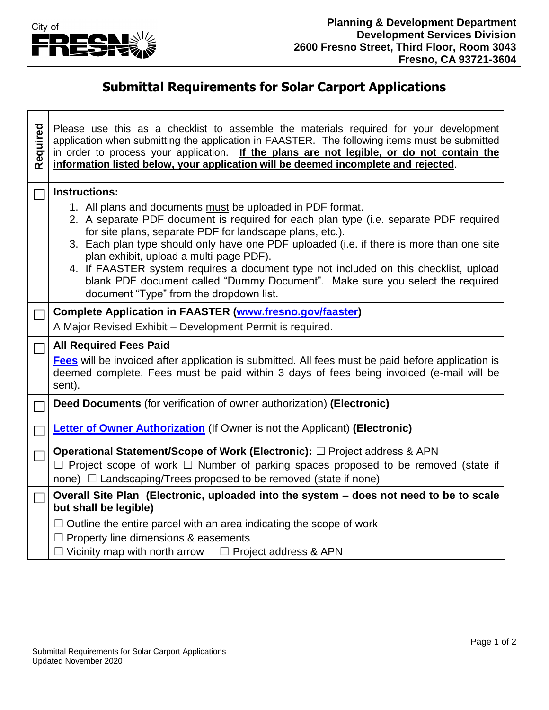

## **Submittal Requirements for Solar Carport Applications**

| Required | Please use this as a checklist to assemble the materials required for your development<br>application when submitting the application in FAASTER. The following items must be submitted<br>in order to process your application. If the plans are not legible, or do not contain the<br>information listed below, your application will be deemed incomplete and rejected. |  |  |
|----------|----------------------------------------------------------------------------------------------------------------------------------------------------------------------------------------------------------------------------------------------------------------------------------------------------------------------------------------------------------------------------|--|--|
|          | <b>Instructions:</b><br>1. All plans and documents must be uploaded in PDF format.<br>2. A separate PDF document is required for each plan type (i.e. separate PDF required<br>for site plans, separate PDF for landscape plans, etc.).                                                                                                                                    |  |  |
|          | 3. Each plan type should only have one PDF uploaded (i.e. if there is more than one site<br>plan exhibit, upload a multi-page PDF).<br>4. If FAASTER system requires a document type not included on this checklist, upload<br>blank PDF document called "Dummy Document". Make sure you select the required                                                               |  |  |
|          | document "Type" from the dropdown list.                                                                                                                                                                                                                                                                                                                                    |  |  |
|          | <b>Complete Application in FAASTER (www.fresno.gov/faaster)</b><br>A Major Revised Exhibit - Development Permit is required.                                                                                                                                                                                                                                               |  |  |
|          |                                                                                                                                                                                                                                                                                                                                                                            |  |  |
|          | <b>All Required Fees Paid</b><br>Fees will be invoiced after application is submitted. All fees must be paid before application is<br>deemed complete. Fees must be paid within 3 days of fees being invoiced (e-mail will be<br>sent).                                                                                                                                    |  |  |
|          | Deed Documents (for verification of owner authorization) (Electronic)                                                                                                                                                                                                                                                                                                      |  |  |
|          | <b>Letter of Owner Authorization</b> (If Owner is not the Applicant) (Electronic)                                                                                                                                                                                                                                                                                          |  |  |
|          | Operational Statement/Scope of Work (Electronic): □ Project address & APN<br>$\Box$ Project scope of work $\Box$ Number of parking spaces proposed to be removed (state if<br>none) $\Box$ Landscaping/Trees proposed to be removed (state if none)                                                                                                                        |  |  |
|          | Overall Site Plan (Electronic, uploaded into the system - does not need to be to scale<br>but shall be legible)                                                                                                                                                                                                                                                            |  |  |